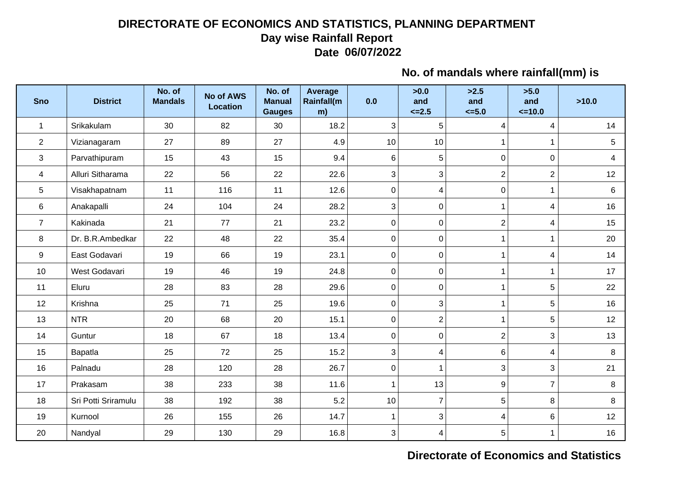## **DIRECTORATE OF ECONOMICS AND STATISTICS, PLANNING DEPARTMENTDay wise Rainfall ReportDate 06/07/2022**

## **No. of mandals where rainfall(mm) is**

| <b>Sno</b>     | <b>District</b>     | No. of<br><b>Mandals</b> | <b>No of AWS</b><br><b>Location</b> | No. of<br><b>Manual</b><br><b>Gauges</b> | Average<br>Rainfall(m<br>m) | 0.0                       | >0.0<br>and<br>$\leq$ -2.5 | >2.5<br>and<br>$\leq 5.0$ | >5.0<br>and<br>$=10.0$ | >10.0          |
|----------------|---------------------|--------------------------|-------------------------------------|------------------------------------------|-----------------------------|---------------------------|----------------------------|---------------------------|------------------------|----------------|
| $\mathbf{1}$   | Srikakulam          | 30                       | 82                                  | 30                                       | 18.2                        | 3                         | 5                          | 4                         | $\overline{4}$         | 14             |
| $\overline{2}$ | Vizianagaram        | 27                       | 89                                  | 27                                       | 4.9                         | 10                        | 10                         | 1                         | $\mathbf 1$            | 5              |
| 3              | Parvathipuram       | 15                       | 43                                  | 15                                       | 9.4                         | 6                         | 5                          | $\mathbf 0$               | $\mathbf 0$            | $\overline{4}$ |
| 4              | Alluri Sitharama    | 22                       | 56                                  | 22                                       | 22.6                        | 3                         | 3                          | $\overline{2}$            | $\overline{2}$         | 12             |
| $\sqrt{5}$     | Visakhapatnam       | 11                       | 116                                 | 11                                       | 12.6                        | $\pmb{0}$                 | 4                          | $\mathbf 0$               | $\mathbf{1}$           | 6              |
| 6              | Anakapalli          | 24                       | 104                                 | 24                                       | 28.2                        | $\mathfrak{S}$            | $\mathbf 0$                | 1                         | $\overline{4}$         | 16             |
| $\overline{7}$ | Kakinada            | 21                       | 77                                  | 21                                       | 23.2                        | $\pmb{0}$                 | $\mathbf 0$                | $\overline{2}$            | $\overline{4}$         | 15             |
| 8              | Dr. B.R.Ambedkar    | 22                       | 48                                  | 22                                       | 35.4                        | $\pmb{0}$                 | $\mathbf 0$                | 1                         | $\mathbf{1}$           | 20             |
| 9              | East Godavari       | 19                       | 66                                  | 19                                       | 23.1                        | $\pmb{0}$                 | $\pmb{0}$                  | 1                         | 4                      | 14             |
| 10             | West Godavari       | 19                       | 46                                  | 19                                       | 24.8                        | $\pmb{0}$                 | $\mathbf 0$                | $\mathbf 1$               | $\mathbf{1}$           | 17             |
| 11             | Eluru               | 28                       | 83                                  | 28                                       | 29.6                        | $\boldsymbol{0}$          | $\mathbf 0$                | 1                         | 5                      | 22             |
| 12             | Krishna             | 25                       | 71                                  | 25                                       | 19.6                        | $\pmb{0}$                 | $\mathfrak{Z}$             | 1                         | 5                      | 16             |
| 13             | <b>NTR</b>          | 20                       | 68                                  | 20                                       | 15.1                        | $\pmb{0}$                 | $\overline{2}$             | 1                         | 5                      | 12             |
| 14             | Guntur              | 18                       | 67                                  | 18                                       | 13.4                        | $\pmb{0}$                 | $\mathbf 0$                | $\overline{2}$            | 3                      | 13             |
| 15             | Bapatla             | 25                       | 72                                  | 25                                       | 15.2                        | 3                         | $\overline{\mathbf{4}}$    | 6                         | $\overline{4}$         | 8              |
| 16             | Palnadu             | 28                       | 120                                 | 28                                       | 26.7                        | $\pmb{0}$                 | $\overline{1}$             | 3                         | 3                      | 21             |
| 17             | Prakasam            | 38                       | 233                                 | 38                                       | 11.6                        | $\mathbf{1}$              | 13                         | 9                         | $\overline{7}$         | 8              |
| 18             | Sri Potti Sriramulu | 38                       | 192                                 | 38                                       | 5.2                         | 10                        | $\overline{7}$             | 5                         | 8                      | 8              |
| 19             | Kurnool             | 26                       | 155                                 | 26                                       | 14.7                        | $\mathbf{1}$              | 3                          | 4                         | 6                      | 12             |
| 20             | Nandyal             | 29                       | 130                                 | 29                                       | 16.8                        | $\ensuremath{\mathsf{3}}$ | $\overline{\mathbf{4}}$    | 5                         | $\mathbf{1}$           | 16             |

## **Directorate of Economics and Statistics**